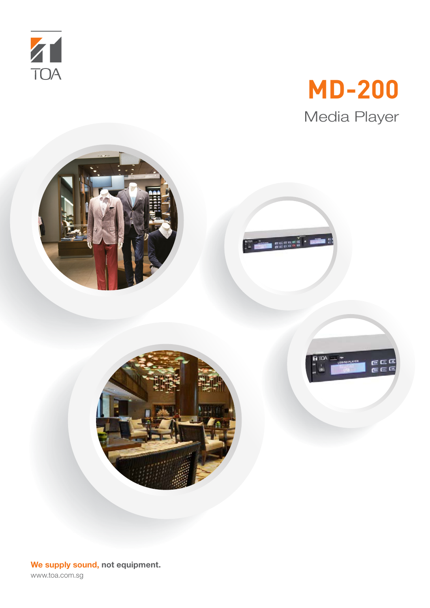

# **MD-200** Media Player





**E** GEERE



**We supply sound, not equipment.** www.toa.com.sg